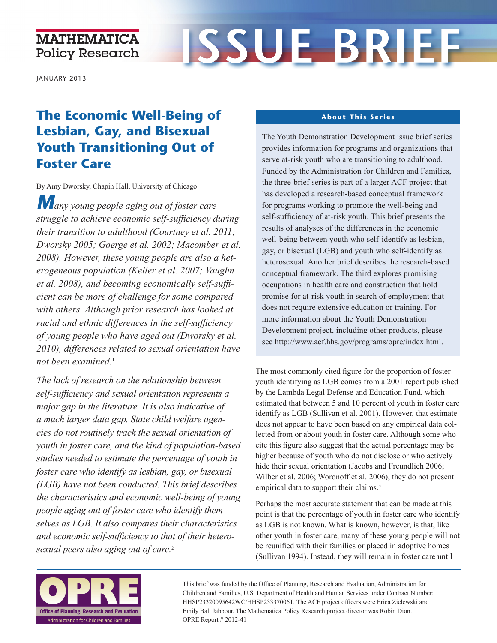### **MATHEMATICA Policy Research**

# **ISSUE BRIEF**

JANUARY 2013

## **The Economic Well-Being of Lesbian, Gay, and Bisexual Youth Transitioning Out of Foster Care**

By Amy Dworsky, Chapin Hall, University of Chicago

*Many young people aging out of foster care struggle to achieve economic self-sufficiency during their transition to adulthood (Courtney et al. 2011; Dworsky 2005; Goerge et al. 2002; Macomber et al. 2008). However, these young people are also a heterogeneous population (Keller et al. 2007; Vaughn et al. 2008), and becoming economically self-sufficient can be more of challenge for some compared with others. Although prior research has looked at racial and ethnic differences in the self-sufficiency of young people who have aged out (Dworsky et al. 2010), differences related to sexual orientation have not been examined.*<sup>1</sup>

*The lack of research on the relationship between self-sufficiency and sexual orientation represents a major gap in the literature. It is also indicative of a much larger data gap. State child welfare agencies do not routinely track the sexual orientation of youth in foster care, and the kind of population-based studies needed to estimate the percentage of youth in foster care who identify as lesbian, gay, or bisexual (LGB) have not been conducted. This brief describes the characteristics and economic well-being of young people aging out of foster care who identify themselves as LGB. It also compares their characteristics and economic self-sufficiency to that of their heterosexual peers also aging out of care.*<sup>2</sup>

#### **About This Series**

The Youth Demonstration Development issue brief series provides information for programs and organizations that serve at-risk youth who are transitioning to adulthood. Funded by the Administration for Children and Families, the three-brief series is part of a larger ACF project that has developed a research-based conceptual framework for programs working to promote the well-being and self-sufficiency of at-risk youth. This brief presents the results of analyses of the differences in the economic well-being between youth who self-identify as lesbian, gay, or bisexual (LGB) and youth who self-identify as heterosexual. Another brief describes the research-based conceptual framework. The third explores promising occupations in health care and construction that hold promise for at-risk youth in search of employment that does not require extensive education or training. For more information about the Youth Demonstration Development project, including other products, please see [http://www.acf.hhs.gov/programs/opre/index.html.](http://www.acf.hhs.gov/programs/opre/index.html)

The most commonly cited figure for the proportion of foster youth identifying as LGB comes from a 2001 report published by the Lambda Legal Defense and Education Fund, which estimated that between 5 and 10 percent of youth in foster care identify as LGB (Sullivan et al. 2001). However, that estimate does not appear to have been based on any empirical data collected from or about youth in foster care. Although some who cite this figure also suggest that the actual percentage may be higher because of youth who do not disclose or who actively hide their sexual orientation (Jacobs and Freundlich 2006; Wilber et al. 2006; Woronoff et al. 2006), they do not present empirical data to support their claims.<sup>3</sup>

Perhaps the most accurate statement that can be made at this point is that the percentage of youth in foster care who identify as LGB is not known. What is known, however, is that, like other youth in foster care, many of these young people will not be reunified with their families or placed in adoptive homes (Sullivan 1994). Instead, they will remain in foster care until



This brief was funded by the Office of Planning, Research and Evaluation, Administration for Children and Families, U.S. Department of Health and Human Services under Contract Number: HHSP23320095642WC/HHSP23337006T. The ACF project officers were Erica Zielewski and Emily Ball Jabbour. The Mathematica Policy Research project director was Robin Dion. OPRE Report # 2012-41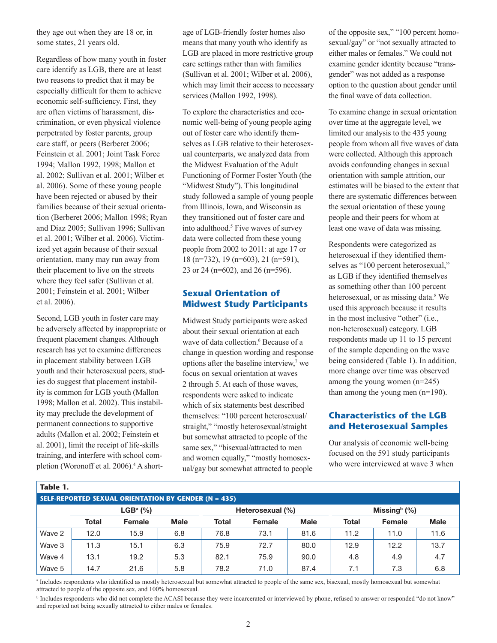they age out when they are 18 or, in some states, 21 years old.

Regardless of how many youth in foster care identify as LGB, there are at least two reasons to predict that it may be especially difficult for them to achieve economic self-sufficiency. First, they are often victims of harassment, discrimination, or even physical violence perpetrated by foster parents, group care staff, or peers (Berberet 2006; Feinstein et al. 2001; Joint Task Force 1994; Mallon 1992, 1998; Mallon et al. 2002; Sullivan et al. 2001; Wilber et al. 2006). Some of these young people have been rejected or abused by their families because of their sexual orientation (Berberet 2006; Mallon 1998; Ryan and Diaz 2005; Sullivan 1996; Sullivan et al. 2001; Wilber et al. 2006). Victimized yet again because of their sexual orientation, many may run away from their placement to live on the streets where they feel safer (Sullivan et al. 2001; Feinstein et al. 2001; Wilber et al. 2006).

Second, LGB youth in foster care may be adversely affected by inappropriate or frequent placement changes. Although research has yet to examine differences in placement stability between LGB youth and their heterosexual peers, studies do suggest that placement instability is common for LGB youth (Mallon 1998; Mallon et al. 2002). This instability may preclude the development of permanent connections to supportive adults (Mallon et al. 2002; Feinstein et al. 2001), limit the receipt of life-skills training, and interfere with school completion (Woronoff et al. 2006).<sup>4</sup> A shortage of LGB-friendly foster homes also means that many youth who identify as LGB are placed in more restrictive group care settings rather than with families (Sullivan et al. 2001; Wilber et al. 2006), which may limit their access to necessary services (Mallon 1992, 1998).

To explore the characteristics and economic well-being of young people aging out of foster care who identify themselves as LGB relative to their heterosexual counterparts, we analyzed data from the Midwest Evaluation of the Adult Functioning of Former Foster Youth (the "Midwest Study"). This longitudinal study followed a sample of young people from Illinois, Iowa, and Wisconsin as they transitioned out of foster care and into adulthood.<sup>5</sup> Five waves of survey data were collected from these young people from 2002 to 2011: at age 17 or 18 (n=732), 19 (n=603), 21 (n=591), 23 or 24 (n=602), and 26 (n=596).

#### **Sexual Orientation of Midwest Study Participants**

Midwest Study participants were asked about their sexual orientation at each wave of data collection.<sup>6</sup> Because of a change in question wording and response options after the baseline interview,<sup>7</sup> we focus on sexual orientation at waves 2 through 5. At each of those waves, respondents were asked to indicate which of six statements best described themselves: "100 percent heterosexual/ straight," "mostly heterosexual/straight but somewhat attracted to people of the same sex," "bisexual/attracted to men and women equally," "mostly homosexual/gay but somewhat attracted to people

of the opposite sex," "100 percent homosexual/gay" or "not sexually attracted to either males or females." We could not examine gender identity because "transgender" was not added as a response option to the question about gender until the final wave of data collection.

To examine change in sexual orientation over time at the aggregate level, we limited our analysis to the 435 young people from whom all five waves of data were collected. Although this approach avoids confounding changes in sexual orientation with sample attrition, our estimates will be biased to the extent that there are systematic differences between the sexual orientation of these young people and their peers for whom at least one wave of data was missing.

Respondents were categorized as heterosexual if they identified themselves as "100 percent heterosexual," as LGB if they identified themselves as something other than 100 percent heterosexual, or as missing data.<sup>8</sup> We used this approach because it results in the most inclusive "other" (i.e., non-heterosexual) category. LGB respondents made up 11 to 15 percent of the sample depending on the wave being considered (Table 1). In addition, more change over time was observed among the young women (n=245) than among the young men (n=190).

#### **Characteristics of the LGB and Heterosexual Samples**

Our analysis of economic well-being focused on the 591 study participants who were interviewed at wave 3 when

| Table 1.                                                    |                                                             |        |             |       |        |             |       |        |             |
|-------------------------------------------------------------|-------------------------------------------------------------|--------|-------------|-------|--------|-------------|-------|--------|-------------|
| <b>SELF-REPORTED SEXUAL ORIENTATION BY GENDER (N = 435)</b> |                                                             |        |             |       |        |             |       |        |             |
|                                                             | $LGBa$ (%)<br>Missing $\frac{b}{b}$ (%)<br>Heterosexual (%) |        |             |       |        |             |       |        |             |
|                                                             | <b>Total</b>                                                | Female | <b>Male</b> | Total | Female | <b>Male</b> | Total | Female | <b>Male</b> |
| Wave 2                                                      | 12.0                                                        | 15.9   | 6.8         | 76.8  | 73.1   | 81.6        | 11.2  | 11.0   | 11.6        |
| Wave 3                                                      | 11.3                                                        | 15.1   | 6.3         | 75.9  | 72.7   | 80.0        | 12.9  | 12.2   | 13.7        |
| Wave 4                                                      | 13.1                                                        | 19.2   | 5.3         | 82.1  | 75.9   | 90.0        | 4.8   | 4.9    | 4.7         |
| Wave 5                                                      | 14.7                                                        | 21.6   | 5.8         | 78.2  | 71.0   | 87.4        | 7.1   | 7.3    | 6.8         |

a Includes respondents who identified as mostly heterosexual but somewhat attracted to people of the same sex, bisexual, mostly homosexual but somewhat attracted to people of the opposite sex, and 100% homosexual.

<sup>b</sup> Includes respondents who did not complete the ACASI because they were incarcerated or interviewed by phone, refused to answer or responded "do not know" and reported not being sexually attracted to either males or females.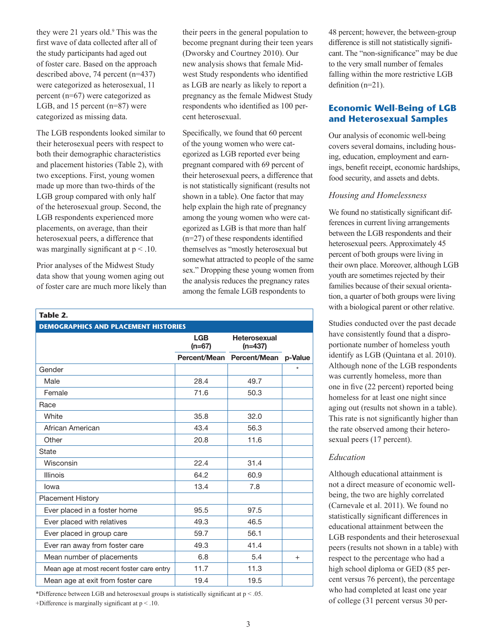they were 21 years old.<sup>9</sup> This was the first wave of data collected after all of the study participants had aged out of foster care. Based on the approach described above, 74 percent (n=437) were categorized as heterosexual, 11 percent (n=67) were categorized as LGB, and 15 percent (n=87) were categorized as missing data.

The LGB respondents looked similar to their heterosexual peers with respect to both their demographic characteristics and placement histories (Table 2), with two exceptions. First, young women made up more than two-thirds of the LGB group compared with only half of the heterosexual group. Second, the LGB respondents experienced more placements, on average, than their heterosexual peers, a difference that was marginally significant at  $p < 10$ .

Prior analyses of the Midwest Study data show that young women aging out of foster care are much more likely than

**Table 2.**

their peers in the general population to become pregnant during their teen years (Dworsky and Courtney 2010). Our new analysis shows that female Midwest Study respondents who identified as LGB are nearly as likely to report a pregnancy as the female Midwest Study respondents who identified as 100 percent heterosexual.

Specifically, we found that 60 percent of the young women who were categorized as LGB reported ever being pregnant compared with 69 percent of their heterosexual peers, a difference that is not statistically significant (results not shown in a table). One factor that may help explain the high rate of pregnancy among the young women who were categorized as LGB is that more than half (n=27) of these respondents identified themselves as "mostly heterosexual but somewhat attracted to people of the same sex." Dropping these young women from the analysis reduces the pregnancy rates among the female LGB respondents to

| <b>DEMOGRAPHICS AND PLACEMENT HISTORIES</b> |                        |                                  |         |  |  |  |  |  |
|---------------------------------------------|------------------------|----------------------------------|---------|--|--|--|--|--|
|                                             | <b>LGB</b><br>$(n=67)$ | <b>Heterosexual</b><br>$(n=437)$ |         |  |  |  |  |  |
|                                             |                        | Percent/Mean Percent/Mean        | p-Value |  |  |  |  |  |
| Gender                                      |                        |                                  | ÷       |  |  |  |  |  |
| Male                                        | 28.4                   | 49.7                             |         |  |  |  |  |  |
| Female                                      | 71.6                   | 50.3                             |         |  |  |  |  |  |
| Race                                        |                        |                                  |         |  |  |  |  |  |
| White                                       | 35.8                   | 32.0                             |         |  |  |  |  |  |
| African American                            | 43.4                   | 56.3                             |         |  |  |  |  |  |
| Other                                       | 20.8                   | 11.6                             |         |  |  |  |  |  |
| State                                       |                        |                                  |         |  |  |  |  |  |
| Wisconsin                                   | 22.4                   | 31.4                             |         |  |  |  |  |  |
| <b>Illinois</b>                             | 64.2                   | 60.9                             |         |  |  |  |  |  |
| lowa                                        | 13.4                   | 7.8                              |         |  |  |  |  |  |
| <b>Placement History</b>                    |                        |                                  |         |  |  |  |  |  |
| Ever placed in a foster home                | 95.5                   | 97.5                             |         |  |  |  |  |  |
| Ever placed with relatives                  | 49.3                   | 46.5                             |         |  |  |  |  |  |
| Ever placed in group care                   | 59.7                   | 56.1                             |         |  |  |  |  |  |
| Ever ran away from foster care              | 49.3                   | 41.4                             |         |  |  |  |  |  |
| Mean number of placements                   | 6.8                    | 5.4                              | $^{+}$  |  |  |  |  |  |
| Mean age at most recent foster care entry   | 11.7                   | 11.3                             |         |  |  |  |  |  |
| Mean age at exit from foster care           | 19.4                   | 19.5                             |         |  |  |  |  |  |

\*Difference between LGB and heterosexual groups is statistically significant at p < .05.

+Difference is marginally significant at p < .10.

48 percent; however, the between-group difference is still not statistically significant. The "non-significance" may be due to the very small number of females falling within the more restrictive LGB definition (n=21).

#### **Economic Well-Being of LGB and Heterosexual Samples**

Our analysis of economic well-being covers several domains, including housing, education, employment and earnings, benefit receipt, economic hardships, food security, and assets and debts.

#### *Housing and Homelessness*

We found no statistically significant differences in current living arrangements between the LGB respondents and their heterosexual peers. Approximately 45 percent of both groups were living in their own place. Moreover, although LGB youth are sometimes rejected by their families because of their sexual orientation, a quarter of both groups were living with a biological parent or other relative.

Studies conducted over the past decade have consistently found that a disproportionate number of homeless youth identify as LGB (Quintana et al. 2010). Although none of the LGB respondents was currently homeless, more than one in five (22 percent) reported being homeless for at least one night since aging out (results not shown in a table). This rate is not significantly higher than the rate observed among their heterosexual peers (17 percent).

#### *Education*

Although educational attainment is not a direct measure of economic wellbeing, the two are highly correlated (Carnevale et al. 2011). We found no statistically significant differences in educational attainment between the LGB respondents and their heterosexual peers (results not shown in a table) with respect to the percentage who had a high school diploma or GED (85 percent versus 76 percent), the percentage who had completed at least one year of college (31 percent versus 30 per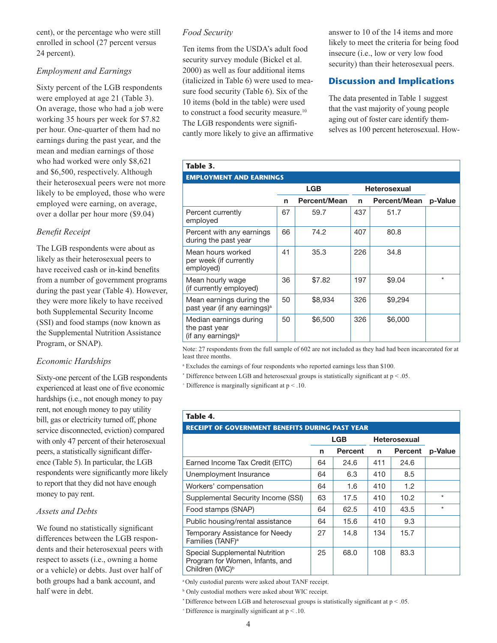cent), or the percentage who were still enrolled in school (27 percent versus 24 percent).

#### *Employment and Earnings*

Sixty percent of the LGB respondents were employed at age 21 (Table 3). On average, those who had a job were working 35 hours per week for \$7.82 per hour. One-quarter of them had no earnings during the past year, and the mean and median earnings of those who had worked were only \$8,621 and \$6,500, respectively. Although their heterosexual peers were not more likely to be employed, those who were employed were earning, on average, over a dollar per hour more (\$9.04)

#### *Benefit Receipt*

The LGB respondents were about as likely as their heterosexual peers to have received cash or in-kind benefits from a number of government programs during the past year (Table 4). However, they were more likely to have received both Supplemental Security Income (SSI) and food stamps (now known as the Supplemental Nutrition Assistance Program, or SNAP).

#### *Economic Hardships*

Sixty-one percent of the LGB respondents experienced at least one of five economic hardships (i.e., not enough money to pay rent, not enough money to pay utility bill, gas or electricity turned off, phone service disconnected, eviction) compared with only 47 percent of their heterosexual peers, a statistically significant difference (Table 5). In particular, the LGB respondents were significantly more likely to report that they did not have enough money to pay rent.

#### *Assets and Debts*

We found no statistically significant differences between the LGB respondents and their heterosexual peers with respect to assets (i.e., owning a home or a vehicle) or debts. Just over half of both groups had a bank account, and half were in debt.

#### *Food Security*

Ten items from the USDA's adult food security survey module (Bickel et al. 2000) as well as four additional items (italicized in Table 6) were used to measure food security (Table 6). Six of the 10 items (bold in the table) were used to construct a food security measure.<sup>10</sup> The LGB respondents were significantly more likely to give an affirmative answer to 10 of the 14 items and more likely to meet the criteria for being food insecure (i.e., low or very low food security) than their heterosexual peers.

#### **Discussion and Implications**

The data presented in Table 1 suggest that the vast majority of young people aging out of foster care identify themselves as 100 percent heterosexual. How-

| Table 3.                                                             |    |                     |     |                     |         |  |  |  |  |
|----------------------------------------------------------------------|----|---------------------|-----|---------------------|---------|--|--|--|--|
| <b>EMPLOYMENT AND EARNINGS</b>                                       |    |                     |     |                     |         |  |  |  |  |
|                                                                      |    | <b>LGB</b>          |     | <b>Heterosexual</b> |         |  |  |  |  |
|                                                                      | n  | <b>Percent/Mean</b> | n   | <b>Percent/Mean</b> | p-Value |  |  |  |  |
| Percent currently<br>employed                                        | 67 | 59.7                | 437 | 51.7                |         |  |  |  |  |
| Percent with any earnings<br>during the past year                    | 66 | 74.2                | 407 | 80.8                |         |  |  |  |  |
| Mean hours worked<br>per week (if currently<br>employed)             | 41 | 35.3                | 226 | 34.8                |         |  |  |  |  |
| Mean hourly wage<br>(if currently employed)                          | 36 | \$7.82              | 197 | \$9.04              | $\star$ |  |  |  |  |
| Mean earnings during the<br>past year (if any earnings) <sup>a</sup> | 50 | \$8,934             | 326 | \$9,294             |         |  |  |  |  |
| Median earnings during<br>the past year<br>(if any earnings) $a$     | 50 | \$6,500             | 326 | \$6,000             |         |  |  |  |  |

Note: 27 respondents from the full sample of 602 are not included as they had had been incarcerated for at least three months.

<sup>a</sup> Excludes the earnings of four respondents who reported earnings less than \$100.

\* Difference between LGB and heterosexual groups is statistically significant at  $p < .05$ .

+ Difference is marginally significant at p < .10.

#### **Table 4.**

| <b>RECEIPT OF GOVERNMENT BENEFITS DURING PAST YEAR</b>                                           |            |                |                     |         |         |  |  |  |
|--------------------------------------------------------------------------------------------------|------------|----------------|---------------------|---------|---------|--|--|--|
|                                                                                                  | <b>LGB</b> |                | <b>Heterosexual</b> |         |         |  |  |  |
|                                                                                                  | n          | <b>Percent</b> | n                   | Percent | p-Value |  |  |  |
| Earned Income Tax Credit (EITC)                                                                  | 64         | 24.6           | 411                 | 24.6    |         |  |  |  |
| Unemployment Insurance                                                                           | 64         | 6.3            | 410                 | 8.5     |         |  |  |  |
| Workers' compensation                                                                            | 64         | 1.6            | 410                 | 1.2     |         |  |  |  |
| Supplemental Security Income (SSI)                                                               | 63         | 17.5           | 410                 | 10.2    | $\star$ |  |  |  |
| Food stamps (SNAP)                                                                               | 64         | 62.5           | 410                 | 43.5    | $\star$ |  |  |  |
| Public housing/rental assistance                                                                 | 64         | 15.6           | 410                 | 9.3     |         |  |  |  |
| Temporary Assistance for Needy<br>Families (TANF) <sup>a</sup>                                   | 27         | 14.8           | 134                 | 15.7    |         |  |  |  |
| Special Supplemental Nutrition<br>Program for Women, Infants, and<br>Children (WIC) <sup>b</sup> | 25         | 68.0           | 108                 | 83.3    |         |  |  |  |

<sup>a</sup>Only custodial parents were asked about TANF receipt.

b Only custodial mothers were asked about WIC receipt.

\* Difference between LGB and heterosexual groups is statistically significant at  $p < .05$ .

 $+$ Difference is marginally significant at  $p < .10$ .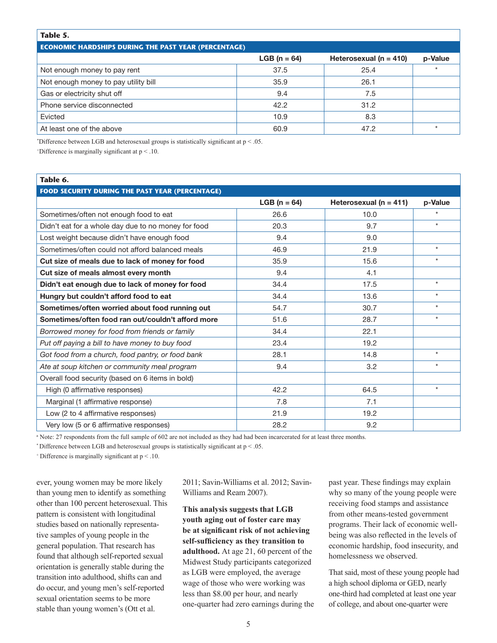#### **Table 5.**

|  | <b>ECONOMIC HARDSHIPS DURING THE PAST YEAR (PERCENTAGE)</b> |  |
|--|-------------------------------------------------------------|--|

|                                      | $LGB (n = 64)$ | Heterosexual ( $n = 410$ ) | p-Value |
|--------------------------------------|----------------|----------------------------|---------|
| Not enough money to pay rent         | 37.5           | 25.4                       | $\star$ |
| Not enough money to pay utility bill | 35.9           | 26.1                       |         |
| Gas or electricity shut off          | 9.4            | 7.5                        |         |
| Phone service disconnected           | 42.2           | 31.2                       |         |
| Evicted                              | 10.9           | 8.3                        |         |
| At least one of the above            | 60.9           | 47.2                       |         |

\* Difference between LGB and heterosexual groups is statistically significant at p < .05.

+ Difference is marginally significant at p < .10.

#### **Table 6.**

| <b>FOOD SECURITY DURING THE PAST YEAR (PERCENTAGE)</b> |                         |                            |         |  |  |  |  |  |
|--------------------------------------------------------|-------------------------|----------------------------|---------|--|--|--|--|--|
|                                                        | <b>LGB</b> ( $n = 64$ ) | Heterosexual ( $n = 411$ ) | p-Value |  |  |  |  |  |
| Sometimes/often not enough food to eat                 | 26.6                    | 10.0                       | $\star$ |  |  |  |  |  |
| Didn't eat for a whole day due to no money for food    | 20.3                    | 9.7                        | $\star$ |  |  |  |  |  |
| Lost weight because didn't have enough food            | 9.4                     | 9.0                        |         |  |  |  |  |  |
| Sometimes/often could not afford balanced meals        | 46.9                    | 21.9                       | $\star$ |  |  |  |  |  |
| Cut size of meals due to lack of money for food        | 35.9                    | 15.6                       | $\star$ |  |  |  |  |  |
| Cut size of meals almost every month                   | 9.4                     | 4.1                        |         |  |  |  |  |  |
| Didn't eat enough due to lack of money for food        | 34.4                    | 17.5                       | $\star$ |  |  |  |  |  |
| Hungry but couldn't afford food to eat                 | 34.4                    | 13.6                       | $\star$ |  |  |  |  |  |
| Sometimes/often worried about food running out         | 54.7                    | 30.7                       | $\star$ |  |  |  |  |  |
| Sometimes/often food ran out/couldn't afford more      | 51.6                    | 28.7                       | $\star$ |  |  |  |  |  |
| Borrowed money for food from friends or family         | 34.4                    | 22.1                       |         |  |  |  |  |  |
| Put off paying a bill to have money to buy food        | 23.4                    | 19.2                       |         |  |  |  |  |  |
| Got food from a church, food pantry, or food bank      | 28.1                    | 14.8                       | $\star$ |  |  |  |  |  |
| Ate at soup kitchen or community meal program          | 9.4                     | 3.2                        | $\star$ |  |  |  |  |  |
| Overall food security (based on 6 items in bold)       |                         |                            |         |  |  |  |  |  |
| High (0 affirmative responses)                         | 42.2                    | 64.5                       | $\star$ |  |  |  |  |  |
| Marginal (1 affirmative response)                      | 7.8                     | 7.1                        |         |  |  |  |  |  |
| Low (2 to 4 affirmative responses)                     | 21.9                    | 19.2                       |         |  |  |  |  |  |
| Very low (5 or 6 affirmative responses)                | 28.2                    | 9.2                        |         |  |  |  |  |  |

a Note: 27 respondents from the full sample of 602 are not included as they had had been incarcerated for at least three months.

 $*$  Difference between LGB and heterosexual groups is statistically significant at  $p < .05$ .

+ Difference is marginally significant at p < .10.

ever, young women may be more likely than young men to identify as something other than 100 percent heterosexual. This pattern is consistent with longitudinal studies based on nationally representative samples of young people in the general population. That research has found that although self-reported sexual orientation is generally stable during the transition into adulthood, shifts can and do occur, and young men's self-reported sexual orientation seems to be more stable than young women's (Ott et al.

2011; Savin-Williams et al. 2012; Savin-Williams and Ream 2007).

**This analysis suggests that LGB youth aging out of foster care may be at significant risk of not achieving self-sufficiency as they transition to adulthood.** At age 21, 60 percent of the Midwest Study participants categorized as LGB were employed, the average wage of those who were working was less than \$8.00 per hour, and nearly one-quarter had zero earnings during the

past year. These findings may explain why so many of the young people were receiving food stamps and assistance from other means-tested government programs. Their lack of economic wellbeing was also reflected in the levels of economic hardship, food insecurity, and homelessness we observed.

That said, most of these young people had a high school diploma or GED, nearly one-third had completed at least one year of college, and about one-quarter were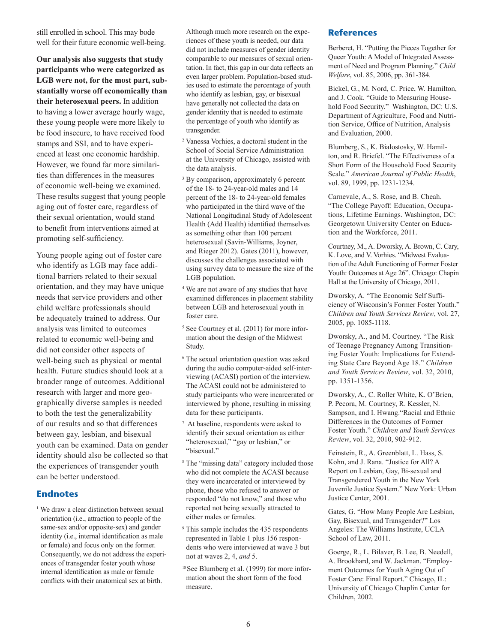still enrolled in school. This may bode well for their future economic well-being.

**Our analysis also suggests that study participants who were categorized as LGB were not, for the most part, substantially worse off economically than their heterosexual peers.** In addition to having a lower average hourly wage, these young people were more likely to be food insecure, to have received food stamps and SSI, and to have experienced at least one economic hardship. However, we found far more similarities than differences in the measures of economic well-being we examined. These results suggest that young people aging out of foster care, regardless of their sexual orientation, would stand to benefit from interventions aimed at promoting self-sufficiency.

Young people aging out of foster care who identify as LGB may face additional barriers related to their sexual orientation, and they may have unique needs that service providers and other child welfare professionals should be adequately trained to address. Our analysis was limited to outcomes related to economic well-being and did not consider other aspects of well-being such as physical or mental health. Future studies should look at a broader range of outcomes. Additional research with larger and more geographically diverse samples is needed to both the test the generalizability of our results and so that differences between gay, lesbian, and bisexual youth can be examined. Data on gender identity should also be collected so that the experiences of transgender youth can be better understood.

#### **Endnotes**

<sup>1</sup> We draw a clear distinction between sexual orientation (i.e., attraction to people of the same-sex and/or opposite-sex) and gender identity (i.e., internal identification as male or female) and focus only on the former. Consequently, we do not address the experiences of transgender foster youth whose internal identification as male or female conflicts with their anatomical sex at birth.

Although much more research on the experiences of these youth is needed, our data did not include measures of gender identity comparable to our measures of sexual orientation. In fact, this gap in our data reflects an even larger problem. Population-based studies used to estimate the percentage of youth who identify as lesbian, gay, or bisexual have generally not collected the data on gender identity that is needed to estimate the percentage of youth who identify as transgender.

- <sup>2</sup> Vanessa Vorhies, a doctoral student in the School of Social Service Administration at the University of Chicago, assisted with the data analysis.
- <sup>3</sup> By comparison, approximately 6 percent of the 18- to 24-year-old males and 14 percent of the 18- to 24-year-old females who participated in the third wave of the National Longitudinal Study of Adolescent Health (Add Health) identified themselves as something other than 100 percent heterosexual (Savin-Williams, Joyner, and Rieger 2012). Gates (2011), however, discusses the challenges associated with using survey data to measure the size of the LGB population.
- <sup>4</sup> We are not aware of any studies that have examined differences in placement stability between LGB and heterosexual youth in foster care.
- <sup>5</sup> See Courtney et al. (2011) for more information about the design of the Midwest Study.
- <sup>6</sup> The sexual orientation question was asked during the audio computer-aided self-interviewing (ACASI) portion of the interview. The ACASI could not be administered to study participants who were incarcerated or interviewed by phone, resulting in missing data for these participants.
- 7 At baseline, respondents were asked to identify their sexual orientation as either "heterosexual," "gay or lesbian," or "bisexual."
- <sup>8</sup> The "missing data" category included those who did not complete the ACASI because they were incarcerated or interviewed by phone, those who refused to answer or responded "do not know," and those who reported not being sexually attracted to either males or females.
- 9 This sample includes the 435 respondents represented in Table 1 plus 156 respondents who were interviewed at wave 3 but not at waves 2, 4, *and* 5.
- <sup>10</sup> See Blumberg et al. (1999) for more information about the short form of the food measure.

#### **References**

Berberet, H. "Putting the Pieces Together for Queer Youth: A Model of Integrated Assessment of Need and Program Planning." *Child Welfare*, vol. 85, 2006, pp. 361-384.

Bickel, G., M. Nord, C. Price, W. Hamilton, and J. Cook. "Guide to Measuring Household Food Security." Washington, DC: U.S. Department of Agriculture, Food and Nutrition Service, Office of Nutrition, Analysis and Evaluation, 2000.

Blumberg, S., K. Bialostosky, W. Hamilton, and R. Briefel. "The Effectiveness of a Short Form of the Household Food Security Scale." *American Journal of Public Health*, vol. 89, 1999, pp. 1231-1234.

Carnevale, A., S. Rose, and B. Cheah. "The College Payoff: Education, Occupations, Lifetime Earnings. Washington, DC: Georgetown University Center on Education and the Workforce, 2011.

Courtney, M., A. Dworsky, A. Brown, C. Cary, K. Love, and V. Vorhies. "Midwest Evaluation of the Adult Functioning of Former Foster Youth: Outcomes at Age 26". Chicago: Chapin Hall at the University of Chicago, 2011.

Dworsky, A. "The Economic Self Sufficiency of Wisconsin's Former Foster Youth." *Children and Youth Services Review*, vol. 27, 2005, pp. 1085-1118.

Dworsky, A., and M. Courtney. "The Risk of Teenage Pregnancy Among Transitioning Foster Youth: Implications for Extending State Care Beyond Age 18." *Children and Youth Services Review*, vol. 32, 2010, pp. 1351-1356.

Dworsky, A., C. Roller White, K. O'Brien, P. Pecora, M. Courtney, R. Kessler, N. Sampson, and I. Hwang."Racial and Ethnic Differences in the Outcomes of Former Foster Youth." *Children and Youth Services Review*, vol. 32, 2010, 902-912.

Feinstein, R., A. Greenblatt, L. Hass, S. Kohn, and J. Rana. "Justice for All? A Report on Lesbian, Gay, Bi-sexual and Transgendered Youth in the New York Juvenile Justice System." New York: Urban Justice Center, 2001.

Gates, G. "How Many People Are Lesbian, Gay, Bisexual, and Transgender?" Los Angeles: The Williams Institute, UCLA School of Law, 2011.

Goerge, R., L. Bilaver, B. Lee, B. Needell, A. Brookhard, and W. Jackman. "Employment Outcomes for Youth Aging Out of Foster Care: Final Report." Chicago, IL: University of Chicago Chaplin Center for Children, 2002.